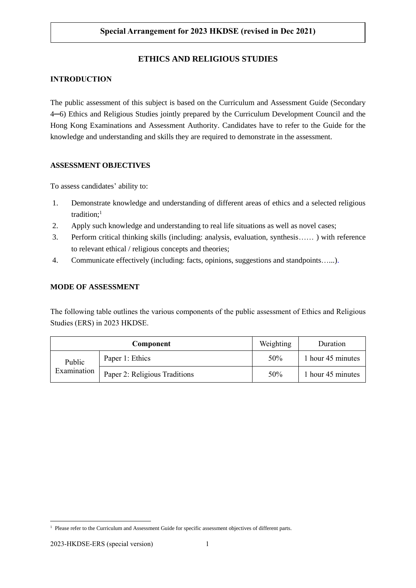# **Special Arrangement for 2023 HKDSE (revised in Dec 2021)**

# **ETHICS AND RELIGIOUS STUDIES**

# **INTRODUCTION**

The public assessment of this subject is based on the Curriculum and Assessment Guide (Secondary 4─6) Ethics and Religious Studies jointly prepared by the Curriculum Development Council and the Hong Kong Examinations and Assessment Authority. Candidates have to refer to the Guide for the knowledge and understanding and skills they are required to demonstrate in the assessment.

# **ASSESSMENT OBJECTIVES**

To assess candidates' ability to:

- 1. Demonstrate knowledge and understanding of different areas of ethics and a selected religious tradition; $<sup>1</sup>$ </sup>
- 2. Apply such knowledge and understanding to real life situations as well as novel cases;
- 3. Perform critical thinking skills (including: analysis, evaluation, synthesis…… ) with reference to relevant ethical / religious concepts and theories;
- 4. Communicate effectively (including: facts, opinions, suggestions and standpoints…...).

## **MODE OF ASSESSMENT**

The following table outlines the various components of the public assessment of Ethics and Religious Studies (ERS) in 2023 HKDSE.

| Component             |                               | Weighting | Duration          |
|-----------------------|-------------------------------|-----------|-------------------|
| Public<br>Examination | Paper 1: Ethics               | 50%       | 1 hour 45 minutes |
|                       | Paper 2: Religious Traditions | 50%       | 1 hour 45 minutes |

<sup>1</sup> <sup>1</sup> Please refer to the Curriculum and Assessment Guide for specific assessment objectives of different parts.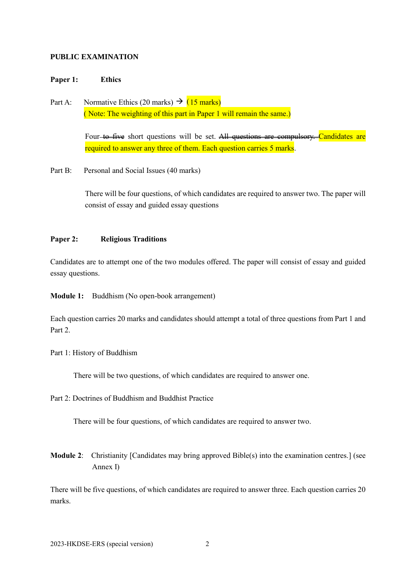### **PUBLIC EXAMINATION**

#### **Paper 1: Ethics**

Part A: Normative Ethics (20 marks)  $\rightarrow$  (15 marks) ( Note: The weighting of this part in Paper 1 will remain the same.)

> Four-to five short questions will be set. All questions are compulsory. Candidates are required to answer any three of them. Each question carries 5 marks.

Part B: Personal and Social Issues (40 marks)

There will be four questions, of which candidates are required to answer two. The paper will consist of essay and guided essay questions

#### **Paper 2: Religious Traditions**

Candidates are to attempt one of the two modules offered. The paper will consist of essay and guided essay questions.

**Module 1:** Buddhism (No open-book arrangement)

Each question carries 20 marks and candidates should attempt a total of three questions from Part 1 and Part 2.

Part 1: History of Buddhism

There will be two questions, of which candidates are required to answer one.

Part 2: Doctrines of Buddhism and Buddhist Practice

There will be four questions, of which candidates are required to answer two.

**Module 2**: Christianity [Candidates may bring approved Bible(s) into the examination centres.] (see Annex I)

There will be five questions, of which candidates are required to answer three. Each question carries 20 marks.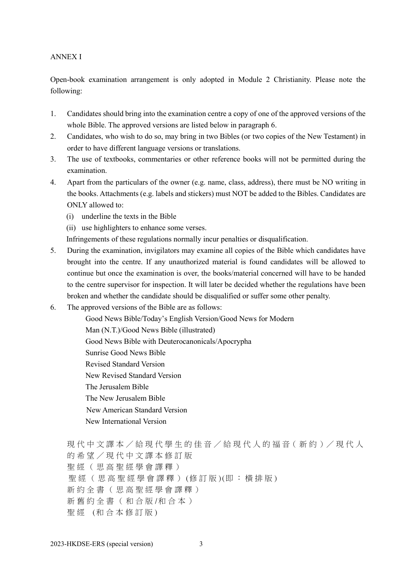## ANNEX I

Open-book examination arrangement is only adopted in Module 2 Christianity. Please note the following:

- 1. Candidates should bring into the examination centre a copy of one of the approved versions of the whole Bible. The approved versions are listed below in paragraph 6.
- 2. Candidates, who wish to do so, may bring in two Bibles (or two copies of the New Testament) in order to have different language versions or translations.
- 3. The use of textbooks, commentaries or other reference books will not be permitted during the examination.
- 4. Apart from the particulars of the owner (e.g. name, class, address), there must be NO writing in the books. Attachments (e.g. labels and stickers) must NOT be added to the Bibles. Candidates are ONLY allowed to:
	- (i) underline the texts in the Bible
	- (ii) use highlighters to enhance some verses.

Infringements of these regulations normally incur penalties or disqualification.

- 5. During the examination, invigilators may examine all copies of the Bible which candidates have brought into the centre. If any unauthorized material is found candidates will be allowed to continue but once the examination is over, the books/material concerned will have to be handed to the centre supervisor for inspection. It will later be decided whether the regulations have been broken and whether the candidate should be disqualified or suffer some other penalty.
- 6. The approved versions of the Bible are as follows:

Good News Bible/Today's English Version/Good News for Modern Man (N.T.)/Good News Bible (illustrated) Good News Bible with Deuterocanonicals/Apocrypha Sunrise Good News Bible Revised Standard Version New Revised Standard Version The Jerusalem Bible The New Jerusalem Bible New American Standard Version New International Version

現代中文譯本/給現代學生的佳音/給現代人的福音(新約)/現代人 的希望 / 現 代 中 文 譯 本 修 訂 版 聖 經 ( 思 高 聖 經 學 會 譯 釋 ) 聖 經 ( 思 高 聖 經 學 會 譯 釋 ) (修 訂 版 )(即 : 横 排 版 ) 新 約 全 書 ( 思 高 聖 經 學 會 譯 釋 ) 新 舊 約 全 書 ( 和 合 版 /和合本) 聖經 (和合本修訂版)